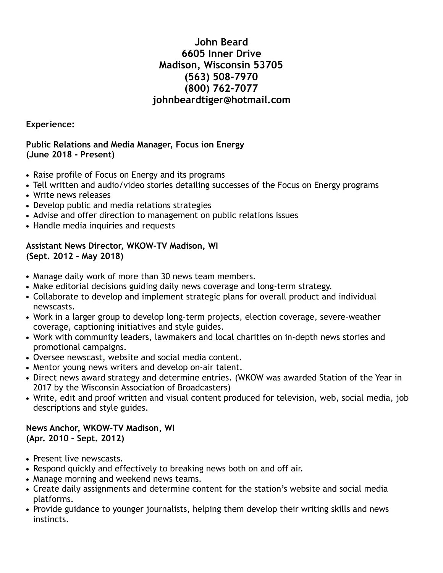# **John Beard 6605 Inner Drive Madison, Wisconsin 53705 (563) 508-7970 (800) 762-7077 johnbeardtiger@hotmail.com**

**Experience:** 

### **Public Relations and Media Manager, Focus ion Energy (June 2018 - Present)**

- Raise profile of Focus on Energy and its programs
- Tell written and audio/video stories detailing successes of the Focus on Energy programs
- Write news releases
- Develop public and media relations strategies
- Advise and offer direction to management on public relations issues
- Handle media inquiries and requests

## **Assistant News Director, WKOW-TV Madison, WI (Sept. 2012 – May 2018)**

- Manage daily work of more than 30 news team members.
- Make editorial decisions guiding daily news coverage and long-term strategy.
- Collaborate to develop and implement strategic plans for overall product and individual newscasts.
- Work in a larger group to develop long-term projects, election coverage, severe-weather coverage, captioning initiatives and style guides.
- Work with community leaders, lawmakers and local charities on in-depth news stories and promotional campaigns.
- Oversee newscast, website and social media content.
- Mentor young news writers and develop on-air talent.
- Direct news award strategy and determine entries. (WKOW was awarded Station of the Year in 2017 by the Wisconsin Association of Broadcasters)
- Write, edit and proof written and visual content produced for television, web, social media, job descriptions and style guides.

#### **News Anchor, WKOW-TV Madison, WI (Apr. 2010 – Sept. 2012)**

- Present live newscasts.
- Respond quickly and effectively to breaking news both on and off air.
- Manage morning and weekend news teams.
- Create daily assignments and determine content for the station's website and social media platforms.
- Provide guidance to younger journalists, helping them develop their writing skills and news instincts.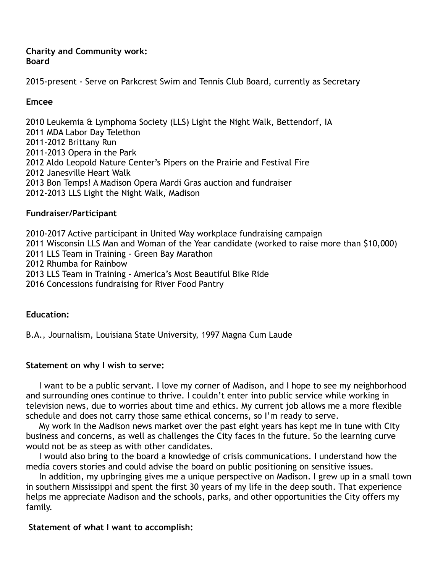#### **Charity and Community work: Board**

2015-present - Serve on Parkcrest Swim and Tennis Club Board, currently as Secretary

## **Emcee**

2010 Leukemia & Lymphoma Society (LLS) Light the Night Walk, Bettendorf, IA 2011 MDA Labor Day Telethon 2011-2012 Brittany Run 2011-2013 Opera in the Park 2012 Aldo Leopold Nature Center's Pipers on the Prairie and Festival Fire 2012 Janesville Heart Walk 2013 Bon Temps! A Madison Opera Mardi Gras auction and fundraiser 2012-2013 LLS Light the Night Walk, Madison

### **Fundraiser/Participant**

2010-2017 Active participant in United Way workplace fundraising campaign 2011 Wisconsin LLS Man and Woman of the Year candidate (worked to raise more than \$10,000) 2011 LLS Team in Training - Green Bay Marathon 2012 Rhumba for Rainbow 2013 LLS Team in Training - America's Most Beautiful Bike Ride 2016 Concessions fundraising for River Food Pantry

### **Education:**

B.A., Journalism, Louisiana State University, 1997 Magna Cum Laude

### **Statement on why I wish to serve:**

I want to be a public servant. I love my corner of Madison, and I hope to see my neighborhood and surrounding ones continue to thrive. I couldn't enter into public service while working in television news, due to worries about time and ethics. My current job allows me a more flexible schedule and does not carry those same ethical concerns, so I'm ready to serve.

 My work in the Madison news market over the past eight years has kept me in tune with City business and concerns, as well as challenges the City faces in the future. So the learning curve would not be as steep as with other candidates.

 I would also bring to the board a knowledge of crisis communications. I understand how the media covers stories and could advise the board on public positioning on sensitive issues.

 In addition, my upbringing gives me a unique perspective on Madison. I grew up in a small town in southern Mississippi and spent the first 30 years of my life in the deep south. That experience helps me appreciate Madison and the schools, parks, and other opportunities the City offers my family.

### **Statement of what I want to accomplish:**